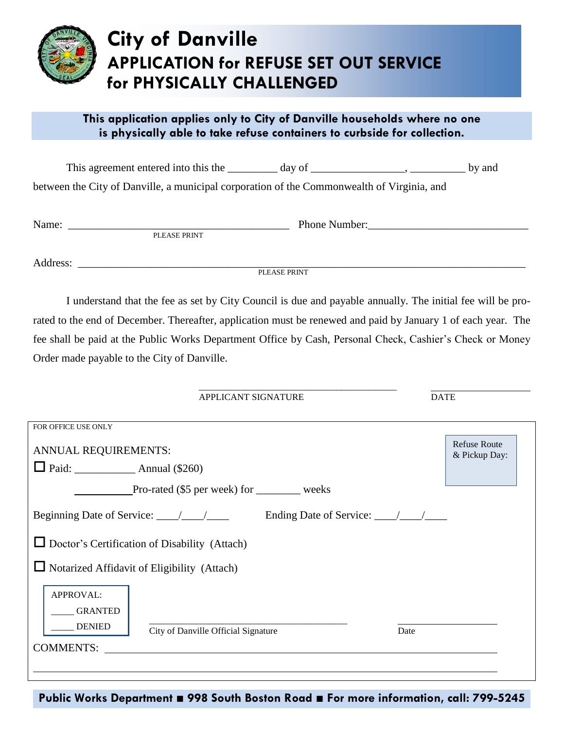

## **City of Danville APPLICATION for REFUSE SET OUT SERVICE for PHYSICALLY CHALLENGED**

## **This application applies only to City of Danville households where no one is physically able to take refuse containers to curbside for collection.**

| This agreement entered into this the                                                       | day of | by and |
|--------------------------------------------------------------------------------------------|--------|--------|
| between the City of Danville, a municipal corporation of the Commonwealth of Virginia, and |        |        |

| Name: |                         | Phone.<br>Number: |
|-------|-------------------------|-------------------|
|       | <b>PRINT</b><br>DТ<br>H |                   |

Address: \_\_\_\_\_\_\_\_\_\_\_\_\_\_\_\_\_\_\_\_\_\_\_\_\_\_\_\_\_\_\_\_\_\_\_\_\_\_\_\_\_\_\_\_\_\_\_\_\_\_\_\_\_\_\_\_\_\_\_\_\_\_\_\_\_\_\_\_\_\_\_\_\_\_\_\_\_\_\_\_\_

PLEASE PRINT

I understand that the fee as set by City Council is due and payable annually. The initial fee will be prorated to the end of December. Thereafter, application must be renewed and paid by January 1 of each year. The fee shall be paid at the Public Works Department Office by Cash, Personal Check, Cashier's Check or Money Order made payable to the City of Danville.

> \_\_\_\_\_\_\_\_\_\_\_\_\_\_\_\_\_\_\_\_\_\_\_\_\_\_\_\_\_\_\_\_\_\_\_\_\_\_\_\_\_\_\_ APPLICANT SIGNATURE DATE

| FOR OFFICE USE ONLY                                          |                                      |
|--------------------------------------------------------------|--------------------------------------|
| ANNUAL REQUIREMENTS:                                         | <b>Refuse Route</b><br>& Pickup Day: |
|                                                              |                                      |
| Pro-rated (\$5 per week) for weeks                           |                                      |
|                                                              |                                      |
| $\Box$ Doctor's Certification of Disability (Attach)         |                                      |
| $\Box$ Notarized Affidavit of Eligibility (Attach)           |                                      |
| APPROVAL:                                                    |                                      |
| <b>GRANTED</b>                                               |                                      |
| <b>DENIED</b><br>City of Danville Official Signature<br>Date |                                      |
| <b>COMMENTS:</b>                                             |                                      |
|                                                              |                                      |

**Public Works Department ■ 998 South Boston Road ■ For more information, call: 799-5245**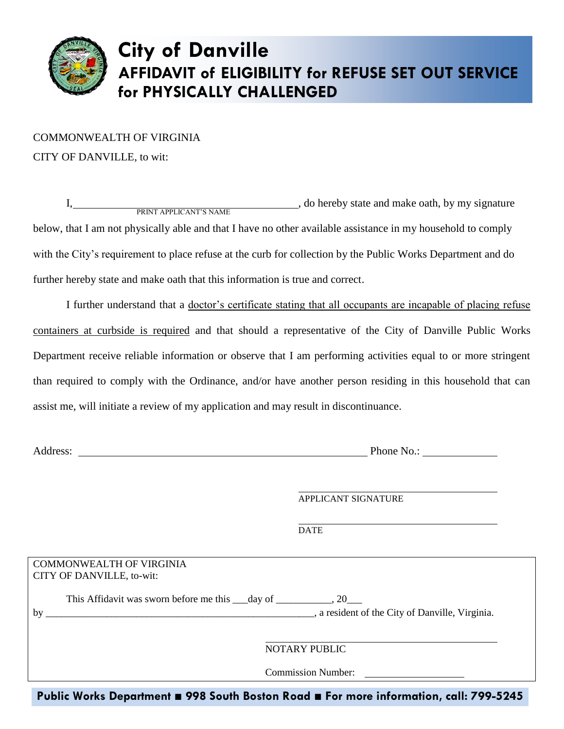

## **City of Danville AFFIDAVIT of ELIGIBILITY for REFUSE SET OUT SERVICE for PHYSICALLY CHALLENGED**

COMMONWEALTH OF VIRGINIA CITY OF DANVILLE, to wit:

I, PRINT APPLICANT'S NAME I, do hereby state and make oath, by my signature below, that I am not physically able and that I have no other available assistance in my household to comply with the City's requirement to place refuse at the curb for collection by the Public Works Department and do further hereby state and make oath that this information is true and correct.

I further understand that a doctor's certificate stating that all occupants are incapable of placing refuse containers at curbside is required and that should a representative of the City of Danville Public Works Department receive reliable information or observe that I am performing activities equal to or more stringent than required to comply with the Ordinance, and/or have another person residing in this household that can assist me, will initiate a review of my application and may result in discontinuance.

|                                 | APPLICANT SIGNATURE       |
|---------------------------------|---------------------------|
|                                 |                           |
|                                 | <b>DATE</b>               |
|                                 |                           |
| <b>COMMONWEALTH OF VIRGINIA</b> |                           |
| CITY OF DANVILLE, to-wit:       |                           |
|                                 |                           |
|                                 |                           |
|                                 |                           |
|                                 | NOTARY PUBLIC             |
|                                 |                           |
|                                 | <b>Commission Number:</b> |

**Public Works Department ■ 998 South Boston Road ■ For more information, call: 799-5245**